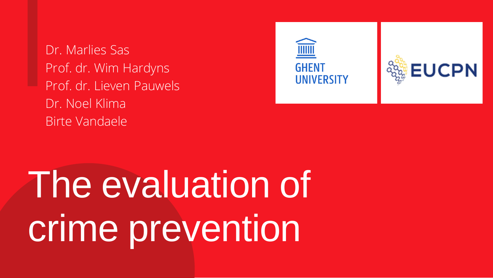# The evaluation of crime prevention

### **GHENT** UNIVERSITY





Dr. Marlies Sas Prof. dr. Wim Hardyns Prof. dr. Lieven Pauwels Dr. Noel Klima Birte Vandaele

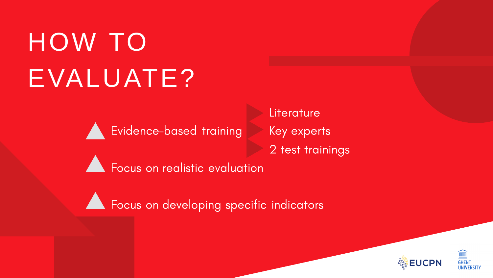## HOW TO EVALUATE?



Literature Key experts 2 test trainings



A Focus on developing specific indicators





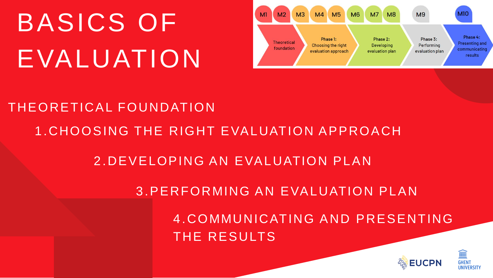THE RESULTS





### 1.CHOOSING THE RIGHT EVALUATION APPROACH 4 .COMMUNICATING AND PRESENTING 2.DEVELOPING AN EVALUATION PLAN 3.PERFORMING AN EVALUATION PLAN THEORETICAL FOUNDATION

## BASICS OF EVALUATION

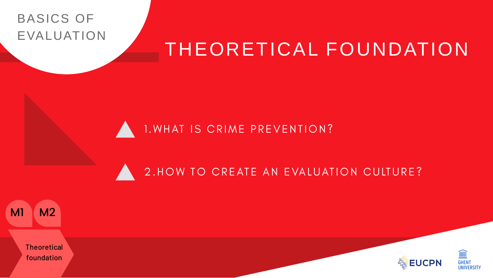### THEORETICAL FOUNDATION

#### 1. WHAT IS CRIME PREVENTION?

#### 2. HOW TO CREATE AN EVALUATION CULTURE?

#### BASICS OF EVALUATION





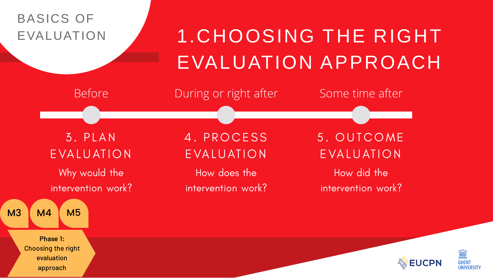### 1.CHOOSING THE RIGHT EVALUATION APPROACH

Before **During or right after** Some time after

3. PLAN EVALUATION Why would the intervention work?

4. PROCESS EVALUATION

How does the intervention work?

### BASICS OF EVALUATION



5. OUTCOME EVALUATION How did the intervention work?



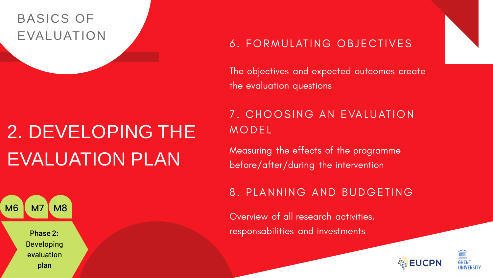### 2. DEVELOPING THE EVALUATION PLAN

#### 6. FORMULATING OBJECTIVES

The objectives and expected outcomes create the evaluation questions

MODEL

Measuring the effects of the programme before/after/during the intervention

Overview of all research activities, responsabilities and investments

Phase 2: Developing evaluation plan M6 | M7 | M8



#### 7. CHOOSING AN EVALUATION

#### 8. PLANNING AND BUDGETING





### BASICS OF EVALUATION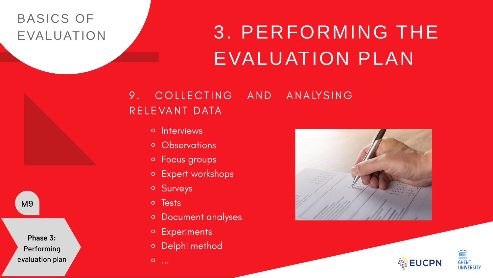⚬

### 3. PERFORMING THE EVALUATION PLAN

#### COLLECTING AND ANALYSING 9. RELEVANT DATA

- o Interviews
- o Observations
- o Focus groups
- o Expert workshops
- o Surveys
- o Tests
- o Document analyses
- o Experiments
- o Delphi method

#### BASICS OF EVALUATION

Phase 3: Performing evaluation plan

M9





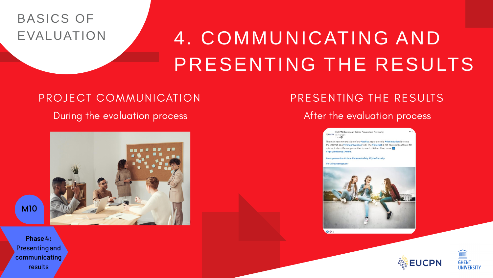### 4. COMMUNICATING AND PRESENTING THE RESULTS

#### PROJECT COMMUNICATION During the evaluation process

#### BASICS OF EVALUATION

Phase 4: Presenting and communicating results

M10

#### PRESENTING THE RESULTS

#### After the evaluation process

**EUCPN (European Crime Prevention Network)** EUCPN (BUCPN (BUCPN (BUCPN )

The main recommendation of our #policy paper on child #victimisation is to use the internet as a #crimeprevention tool. The #internet is not necessarily a threat for minors, it also offers opportunities to reach children. Read more https://Inkd.in/gTAmtkr.

#europeanunion #crime #Internetsafety #CyberSecurity

Vertaling weergeve





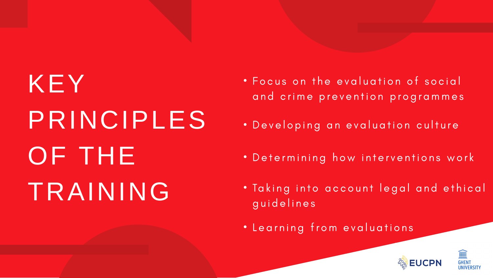## KEY PRINCIPLES OF THE TRAINING · Taking into account legal and ethical

- 
- 
- 
- guidelines
- 

• Focus on the evaluation of social and crime prevention programmes

. Developing an evaluation culture

• Determining how interventions work

· Learning from evaluations



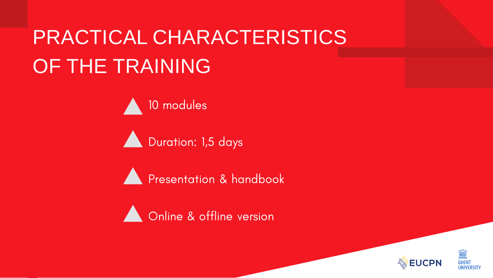### PRACTICAL CHARACTERISTICS OF THE TRAINING

10 modules

Duration: 1,5 days

Presentation & handbook